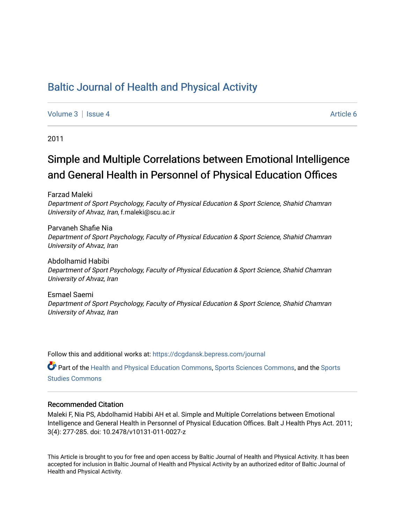# [Baltic Journal of Health and Physical Activity](https://dcgdansk.bepress.com/journal)

[Volume 3](https://dcgdansk.bepress.com/journal/vol3) | [Issue 4](https://dcgdansk.bepress.com/journal/vol3/iss4) Article 6

2011

# Simple and Multiple Correlations between Emotional Intelligence and General Health in Personnel of Physical Education Offices

Farzad Maleki

Department of Sport Psychology, Faculty of Physical Education & Sport Science, Shahid Chamran University of Ahvaz, Iran, f.maleki@scu.ac.ir

Parvaneh Shafie Nia Department of Sport Psychology, Faculty of Physical Education & Sport Science, Shahid Chamran University of Ahvaz, Iran

Abdolhamid Habibi Department of Sport Psychology, Faculty of Physical Education & Sport Science, Shahid Chamran University of Ahvaz, Iran

Esmael Saemi Department of Sport Psychology, Faculty of Physical Education & Sport Science, Shahid Chamran University of Ahvaz, Iran

Follow this and additional works at: [https://dcgdansk.bepress.com/journal](https://dcgdansk.bepress.com/journal?utm_source=dcgdansk.bepress.com%2Fjournal%2Fvol3%2Fiss4%2F6&utm_medium=PDF&utm_campaign=PDFCoverPages)

Part of the [Health and Physical Education Commons](http://network.bepress.com/hgg/discipline/1327?utm_source=dcgdansk.bepress.com%2Fjournal%2Fvol3%2Fiss4%2F6&utm_medium=PDF&utm_campaign=PDFCoverPages), [Sports Sciences Commons](http://network.bepress.com/hgg/discipline/759?utm_source=dcgdansk.bepress.com%2Fjournal%2Fvol3%2Fiss4%2F6&utm_medium=PDF&utm_campaign=PDFCoverPages), and the [Sports](http://network.bepress.com/hgg/discipline/1198?utm_source=dcgdansk.bepress.com%2Fjournal%2Fvol3%2Fiss4%2F6&utm_medium=PDF&utm_campaign=PDFCoverPages)  [Studies Commons](http://network.bepress.com/hgg/discipline/1198?utm_source=dcgdansk.bepress.com%2Fjournal%2Fvol3%2Fiss4%2F6&utm_medium=PDF&utm_campaign=PDFCoverPages) 

#### Recommended Citation

Maleki F, Nia PS, Abdolhamid Habibi AH et al. Simple and Multiple Correlations between Emotional Intelligence and General Health in Personnel of Physical Education Offices. Balt J Health Phys Act. 2011; 3(4): 277-285. doi: 10.2478/v10131-011-0027-z

This Article is brought to you for free and open access by Baltic Journal of Health and Physical Activity. It has been accepted for inclusion in Baltic Journal of Health and Physical Activity by an authorized editor of Baltic Journal of Health and Physical Activity.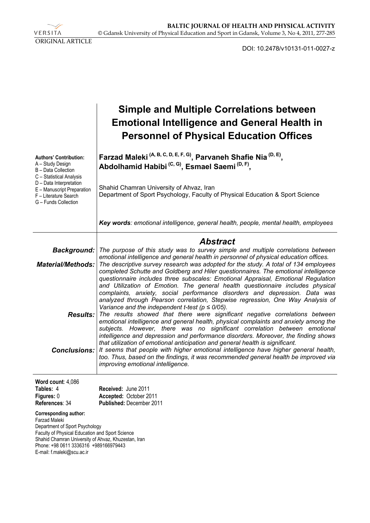VERSITA ORIGINAL ARTICLE

DOI: 10.2478/v10131-011-0027-z

|                                                                                                                                                                                                                                                                                                                                    | <b>Simple and Multiple Correlations between</b><br><b>Emotional Intelligence and General Health in</b><br><b>Personnel of Physical Education Offices</b>                                                                                                                                                                                                                                                                                                                                                                                                                                                                                                                                                                                                                                                                                                                                                                                                                                                                                                                                                                                                                                                                                                                                                                                                                                                                                                       |
|------------------------------------------------------------------------------------------------------------------------------------------------------------------------------------------------------------------------------------------------------------------------------------------------------------------------------------|----------------------------------------------------------------------------------------------------------------------------------------------------------------------------------------------------------------------------------------------------------------------------------------------------------------------------------------------------------------------------------------------------------------------------------------------------------------------------------------------------------------------------------------------------------------------------------------------------------------------------------------------------------------------------------------------------------------------------------------------------------------------------------------------------------------------------------------------------------------------------------------------------------------------------------------------------------------------------------------------------------------------------------------------------------------------------------------------------------------------------------------------------------------------------------------------------------------------------------------------------------------------------------------------------------------------------------------------------------------------------------------------------------------------------------------------------------------|
| <b>Authors' Contribution:</b><br>A - Study Design<br>B - Data Collection<br>C - Statistical Analysis<br>D - Data Interpretation<br>E - Manuscript Preparation<br>F - Literature Search<br>G - Funds Collection                                                                                                                     | Farzad Maleki <sup>(A, B, C, D, E, F, G)</sup> , Parvaneh Shafie Nia <sup>(D, E)</sup> ,<br>Abdolhamid Habibi <sup>(C, G)</sup> , Esmael Saemi <sup>(D, F)</sup> ,<br>Shahid Chamran University of Ahvaz, Iran<br>Department of Sport Psychology, Faculty of Physical Education & Sport Science                                                                                                                                                                                                                                                                                                                                                                                                                                                                                                                                                                                                                                                                                                                                                                                                                                                                                                                                                                                                                                                                                                                                                                |
|                                                                                                                                                                                                                                                                                                                                    | Key words: emotional intelligence, general health, people, mental health, employees                                                                                                                                                                                                                                                                                                                                                                                                                                                                                                                                                                                                                                                                                                                                                                                                                                                                                                                                                                                                                                                                                                                                                                                                                                                                                                                                                                            |
| <b>Background:</b><br><b>Material/Methods:</b>                                                                                                                                                                                                                                                                                     | <b>Abstract</b><br>The purpose of this study was to survey simple and multiple correlations between<br>emotional intelligence and general health in personnel of physical education offices.<br>The descriptive survey research was adopted for the study. A total of 134 employees<br>completed Schutte and Goldberg and Hiler questionnaires. The emotional intelligence<br>questionnaire includes three subscales: Emotional Appraisal, Emotional Regulation<br>and Utilization of Emotion. The general health questionnaire includes physical<br>complaints, anxiety, social performance disorders and depression. Data was<br>analyzed through Pearson correlation, Stepwise regression, One Way Analysis of<br>Variance and the independent t-test ( $p \leq 0/05$ ).<br><b>Results:</b> The results showed that there were significant negative correlations between<br>emotional intelligence and general health, physical complaints and anxiety among the<br>subjects. However, there was no significant correlation between emotional<br>intelligence and depression and performance disorders. Moreover, the finding shows<br>that utilization of emotional anticipation and general health is significant.<br><b>Conclusions:</b> It seems that people with higher emotional intelligence have higher general health,<br>too. Thus, based on the findings, it was recommended general health be improved via<br>improving emotional intelligence. |
| Word count: 4,086<br>Tables: 4<br>Figures: 0<br>References: 34<br><b>Corresponding author:</b><br>Farzad Maleki<br>Department of Sport Psychology<br>Faculty of Physical Education and Sport Science<br>Shahid Chamran University of Ahvaz, Khuzestan, Iran<br>Phone: +98 0611 3336316 +989166979443<br>E-mail: f.maleki@scu.ac.ir | Received: June 2011<br>Accepted: October 2011<br>Published: December 2011                                                                                                                                                                                                                                                                                                                                                                                                                                                                                                                                                                                                                                                                                                                                                                                                                                                                                                                                                                                                                                                                                                                                                                                                                                                                                                                                                                                      |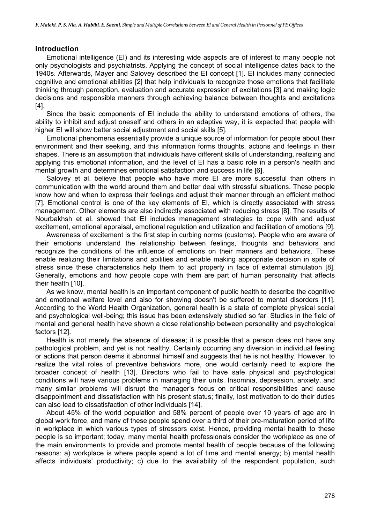#### **Introduction**

Emotional intelligence (EI) and its interesting wide aspects are of interest to many people not only psychologists and psychiatrists. Applying the concept of social intelligence dates back to the 1940s. Afterwards, Mayer and Salovey described the EI concept [1]. EI includes many connected cognitive and emotional abilities [2] that help individuals to recognize those emotions that facilitate thinking through perception, evaluation and accurate expression of excitations [3] and making logic decisions and responsible manners through achieving balance between thoughts and excitations [4].

Since the basic components of EI include the ability to understand emotions of others, the ability to inhibit and adjust oneself and others in an adaptive way, it is expected that people with higher EI will show better social adjustment and social skills [5].

Emotional phenomena essentially provide a unique source of information for people about their environment and their seeking, and this information forms thoughts, actions and feelings in their shapes. There is an assumption that individuals have different skills of understanding, realizing and applying this emotional information, and the level of EI has a basic role in a person's health and mental growth and determines emotional satisfaction and success in life [6].

Salovey et al. believe that people who have more EI are more successful than others in communication with the world around them and better deal with stressful situations. These people know how and when to express their feelings and adjust their manner through an efficient method [7]. Emotional control is one of the key elements of EI, which is directly associated with stress management. Other elements are also indirectly associated with reducing stress [8]. The results of Nourbakhsh et al. showed that EI includes management strategies to cope with and adjust excitement, emotional appraisal, emotional regulation and utilization and facilitation of emotions [9].

Awareness of excitement is the first step in curbing norms (customs). People who are aware of their emotions understand the relationship between feelings, thoughts and behaviors and recognize the conditions of the influence of emotions on their manners and behaviors. These enable realizing their limitations and abilities and enable making appropriate decision in spite of stress since these characteristics help them to act properly in face of external stimulation [8]. Generally, emotions and how people cope with them are part of human personality that affects their health [10].

As we know, mental health is an important component of public health to describe the cognitive and emotional welfare level and also for showing doesn't be suffered to mental disorders [11]. According to the World Health Organization, general health is a state of complete physical social and psychological well-being; this issue has been extensively studied so far. Studies in the field of mental and general health have shown a close relationship between personality and psychological factors [12].

Health is not merely the absence of disease; it is possible that a person does not have any pathological problem, and yet is not healthy. Certainly occurring any diversion in individual feeling or actions that person deems it abnormal himself and suggests that he is not healthy. However, to realize the vital roles of preventive behaviors more, one would certainly need to explore the broader concept of health [13]. Directors who fail to have safe physical and psychological conditions will have various problems in managing their units. Insomnia, depression, anxiety, and many similar problems will disrupt the manager's focus on critical responsibilities and cause disappointment and dissatisfaction with his present status; finally, lost motivation to do their duties can also lead to dissatisfaction of other individuals [14].

About 45% of the world population and 58% percent of people over 10 years of age are in global work force, and many of these people spend over a third of their pre-maturation period of life in workplace in which various types of stressors exist. Hence, providing mental health to these people is so important; today, many mental health professionals consider the workplace as one of the main environments to provide and promote mental health of people because of the following reasons: a) workplace is where people spend a lot of time and mental energy; b) mental health affects individuals' productivity; c) due to the availability of the respondent population, such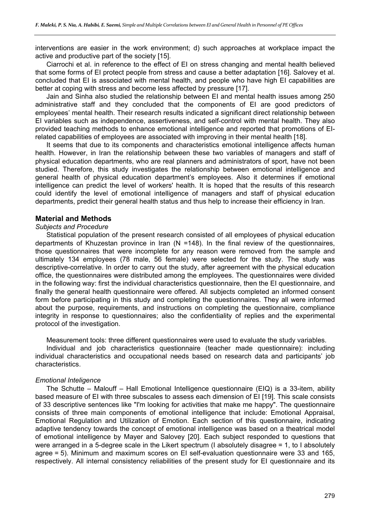interventions are easier in the work environment; d) such approaches at workplace impact the active and productive part of the society [15].

Ciarrochi et al. in reference to the effect of EI on stress changing and mental health believed that some forms of EI protect people from stress and cause a better adaptation [16]. Salovey et al. concluded that EI is associated with mental health, and people who have high EI capabilities are better at coping with stress and become less affected by pressure [17].

Jain and Sinha also studied the relationship between EI and mental health issues among 250 administrative staff and they concluded that the components of EI are good predictors of employees' mental health. Their research results indicated a significant direct relationship between EI variables such as independence, assertiveness, and self-control with mental health. They also provided teaching methods to enhance emotional intelligence and reported that promotions of EIrelated capabilities of employees are associated with improving in their mental health [18].

It seems that due to its components and characteristics emotional intelligence affects human health. However, in Iran the relationship between these two variables of managers and staff of physical education departments, who are real planners and administrators of sport, have not been studied. Therefore, this study investigates the relationship between emotional intelligence and general health of physical education department's employees. Also it determines if emotional intelligence can predict the level of workers' health. It is hoped that the results of this research could identify the level of emotional intelligence of managers and staff of physical education departments, predict their general health status and thus help to increase their efficiency in Iran.

#### **Material and Methods**

# *Subjects and Procedure*

Statistical population of the present research consisted of all employees of physical education departments of Khuzestan province in Iran (N =148). In the final review of the questionnaires, those questionnaires that were incomplete for any reason were removed from the sample and ultimately 134 employees (78 male, 56 female) were selected for the study. The study was descriptive-correlative. In order to carry out the study, after agreement with the physical education office, the questionnaires were distributed among the employees. The questionnaires were divided in the following way: first the individual characteristics questionnaire, then the EI questionnaire, and finally the general health questionnaire were offered. All subjects completed an informed consent form before participating in this study and completing the questionnaires. They all were informed about the purpose, requirements, and instructions on completing the questionnaire, compliance integrity in response to questionnaires; also the confidentiality of replies and the experimental protocol of the investigation.

Measurement tools: three different questionnaires were used to evaluate the study variables.

Individual and job characteristics questionnaire (teacher made questionnaire): including individual characteristics and occupational needs based on research data and participants' job characteristics.

#### *Emotional Inteligence*

The Schutte – Malouff – Hall Emotional Intelligence questionnaire (EIQ) is a 33-item, ability based measure of EI with three subscales to assess each dimension of EI [19]. This scale consists of 33 descriptive sentences like "I'm looking for activities that make me happy". The questionnaire consists of three main components of emotional intelligence that include: Emotional Appraisal, Emotional Regulation and Utilization of Emotion. Each section of this questionnaire, indicating adaptive tendency towards the concept of emotional intelligence was based on a theatrical model of emotional intelligence by Mayer and Salovey [20]. Each subject responded to questions that were arranged in a 5-degree scale in the Likert spectrum (I absolutely disagree = 1, to I absolutely agree = 5). Minimum and maximum scores on EI self-evaluation questionnaire were 33 and 165, respectively. All internal consistency reliabilities of the present study for EI questionnaire and its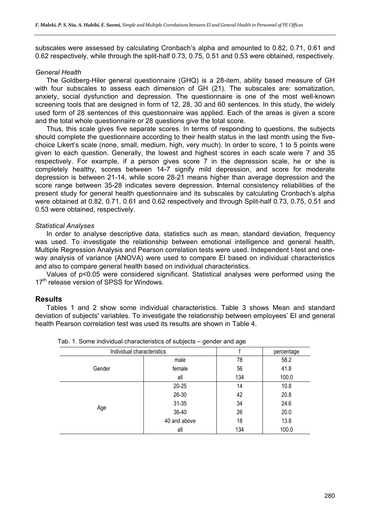subscales were assessed by calculating Cronbach's alpha and amounted to 0.82, 0.71, 0.61 and 0.62 respectively, while through the split-half 0.73, 0.75, 0.51 and 0.53 were obtained, respectively.

#### *General Health*

The Goldberg-Hiler general questionnaire (GHQ) is a 28-item, ability based measure of GH with four subscales to assess each dimension of GH (21). The subscales are: somatization, anxiety, social dysfunction and depression. The questionnaire is one of the most well-known screening tools that are designed in form of 12, 28, 30 and 60 sentences. In this study, the widely used form of 28 sentences of this questionnaire was applied. Each of the areas is given a score and the total whole questionnaire or 28 questions give the total score.

Thus, this scale gives five separate scores. In terms of responding to questions, the subjects should complete the questionnaire according to their health status in the last month using the fivechoice Likert's scale (none, small, medium, high, very much). In order to score, 1 to 5 points were given to each question. Generally, the lowest and highest scores in each scale were 7 and 35 respectively. For example, if a person gives score 7 in the depression scale, he or she is completely healthy, scores between 14-7 signify mild depression, and score for moderate depression is between 21-14, while score 28-21 means higher than average depression and the score range between 35-28 indicates severe depression. **I**nternal consistency reliabilities of the present study for general health questionnaire and its subscales by calculating Cronbach's alpha were obtained at 0.82, 0.71, 0.61 and 0.62 respectively and through Split-half 0.73, 0.75, 0.51 and 0.53 were obtained, respectively.

#### *Statistical Analyses*

In order to analyse descriptive data, statistics such as mean, standard deviation, frequency was used. To investigate the relationship between emotional intelligence and general health, Multiple Regression Analysis and Pearson correlation tests were used. Independent t-test and oneway analysis of variance (ANOVA) were used to compare EI based on individual characteristics and also to compare general health based on individual characteristics.

Values of p<0.05 were considered significant. Statistical analyses were performed using the 17<sup>th</sup> release version of SPSS for Windows.

#### **Results**

Tables 1 and 2 show some individual characteristics. Table 3 shows Mean and standard deviation of subjects' variables. To investigate the relationship between employees' EI and general health Pearson correlation test was used its results are shown in Table 4.

| Individual characteristics |              | percentage |       |
|----------------------------|--------------|------------|-------|
|                            | male         | 78         | 58.2  |
| Gender                     | female       | 56         | 41.8  |
|                            | all          | 134        | 100.0 |
|                            | $20 - 25$    | 14         | 10.8  |
|                            | $26 - 30$    | 42         | 20.8  |
|                            | $31 - 35$    | 34         | 24.6  |
| Age                        | 36-40        | 26         | 20.0  |
|                            | 40 and above | 18         | 13.8  |
|                            | all          | 134        | 100.0 |

|  |  |  | Tab. 1. Some individual characteristics of subjects – gender and age |  |  |  |
|--|--|--|----------------------------------------------------------------------|--|--|--|
|--|--|--|----------------------------------------------------------------------|--|--|--|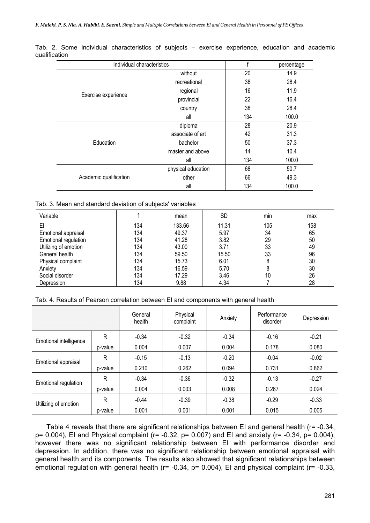|                        | Individual characteristics |     |       |
|------------------------|----------------------------|-----|-------|
|                        | without                    | 20  | 14.9  |
|                        | recreational               | 38  | 28.4  |
|                        | regional                   | 16  | 11.9  |
| Exercise experience    | provincial                 | 22  | 16.4  |
|                        | country                    | 38  | 28.4  |
|                        | all                        | 134 | 100.0 |
|                        | diploma                    | 28  | 20.9  |
|                        | associate of art           | 42  | 31.3  |
| Education              | bachelor                   | 50  | 37.3  |
|                        | master and above           | 14  | 10.4  |
|                        | all                        | 134 | 100.0 |
|                        | physical education         | 68  | 50.7  |
| Academic qualification | other                      | 66  | 49.3  |
|                        | all                        | 134 | 100.0 |

Tab. 2. Some individual characteristics of subjects – exercise experience, education and academic qualification

|  |  |  |  |  |  | Tab. 3. Mean and standard deviation of subjects' variables |
|--|--|--|--|--|--|------------------------------------------------------------|
|--|--|--|--|--|--|------------------------------------------------------------|

| Variable             |     | mean   | <b>SD</b> | min | max |
|----------------------|-----|--------|-----------|-----|-----|
| EI                   | 134 | 133.66 | 11.31     | 105 | 158 |
| Emotional appraisal  | 134 | 49.37  | 5.97      | 34  | 65  |
| Emotional regulation | 134 | 41.28  | 3.82      | 29  | 50  |
| Utilizing of emotion | 134 | 43.00  | 3.71      | 33  | 49  |
| General health       | 134 | 59.50  | 15.50     | 33  | 96  |
| Physical complaint   | 134 | 15.73  | 6.01      | 8   | 30  |
| Anxiety              | 134 | 16.59  | 5.70      | 8   | 30  |
| Social disorder      | 134 | 17.29  | 3.46      | 10  | 26  |
| Depression           | 134 | 9.88   | 4.34      |     | 28  |

|  |  |  | Tab. 4. Results of Pearson correlation between EI and components with general health |  |
|--|--|--|--------------------------------------------------------------------------------------|--|
|  |  |  |                                                                                      |  |

|                        |         | General<br>health | Physical<br>complaint | Anxiety | Performance<br>disorder | Depression |
|------------------------|---------|-------------------|-----------------------|---------|-------------------------|------------|
| Emotional intelligence | R       | $-0.34$           | $-0.32$               | $-0.34$ | $-0.16$                 | $-0.21$    |
|                        | p-value | 0.004             | 0.007                 | 0.004   | 0.178                   | 0.080      |
| Emotional appraisal    | R       | $-0.15$           | $-0.13$               | $-0.20$ | $-0.04$                 | $-0.02$    |
|                        | p-value | 0.210             | 0.262                 | 0.094   | 0.731                   | 0.862      |
| Emotional regulation   | R       | $-0.34$           | $-0.36$               | $-0.32$ | $-0.13$                 | $-0.27$    |
|                        | p-value | 0.004             | 0.003                 | 0.008   | 0.267                   | 0.024      |
| Utilizing of emotion   | R       | $-0.44$           | $-0.39$               | $-0.38$ | $-0.29$                 | $-0.33$    |
|                        | p-value | 0.001             | 0.001                 | 0.001   | 0.015                   | 0.005      |

Table 4 reveals that there are significant relationships between EI and general health (r= -0.34, p= 0.004), EI and Physical complaint (r= -0.32, p= 0.007) and EI and anxiety (r= -0.34, p= 0.004), however there was no significant relationship between EI with performance disorder and depression. In addition, there was no significant relationship between emotional appraisal with general health and its components. The results also showed that significant relationships between emotional regulation with general health (r= -0.34, p= 0.004), EI and physical complaint (r= -0.33,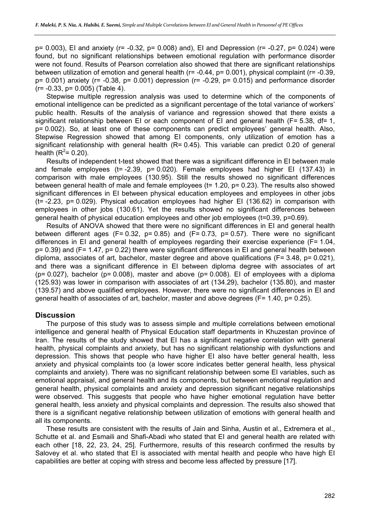p= 0.003), EI and anxiety (r= -0.32, p= 0.008) and), EI and Depression (r= -0.27, p= 0.024) were found, but no significant relationships between emotional regulation with performance disorder were not found. Results of Pearson correlation also showed that there are significant relationships between utilization of emotion and general health (r= -0.44, p= 0.001), physical complaint (r= -0.39,  $p= 0.001$ ) anxiety ( $r=-0.38$ ,  $p= 0.001$ ) depression ( $r=-0.29$ ,  $p= 0.015$ ) and performance disorder (r= -0.33, p= 0.005) (Table 4).

Stepwise multiple regression analysis was used to determine which of the components of emotional intelligence can be predicted as a significant percentage of the total variance of workers' public health. Results of the analysis of variance and regression showed that there exists a significant relationship between EI or each component of EI and general health (F= 5.38, df= 1, p= 0.002). So, at least one of these components can predict employees' general health. Also, Stepwise Regression showed that among EI components, only utilization of emotion has a significant relationship with general health (R= 0.45). This variable can predict 0.20 of general health ( $R^2$ = 0.20).

Results of independent t-test showed that there was a significant difference in EI between male and female employees (t= -2.39, p= 0.020). Female employees had higher EI (137.43) in comparison with male employees (130.95). Still the results showed no significant differences between general health of male and female employees (t= 1.20, p= 0.23). The results also showed significant differences in EI between physical education employees and employees in other jobs (t= -2.23, p= 0.029). Physical education employees had higher EI (136.62) in comparison with employees in other jobs (130.61). Yet the results showed no significant differences between general health of physical education employees and other job employees (t=0.39, p=0.69).

Results of ANOVA showed that there were no significant differences in EI and general health between different ages (F= 0.32, p= 0.85) and (F= 0.73, p= 0.57). There were no significant differences in EI and general health of employees regarding their exercise experience (F= 1.04, p= 0.39) and (F= 1.47, p= 0.22) there were significant differences in EI and general health between diploma, associates of art, bachelor, master degree and above qualifications (F= 3.48, p= 0.021), and there was a significant difference in EI between diploma degree with associates of art ( $p= 0.027$ ), bachelor ( $p= 0.008$ ), master and above ( $p= 0.008$ ). El of employees with a diploma (125.93) was lower in comparison with associates of art (134.29), bachelor (135.80), and master (139.57) and above qualified employees. However, there were no significant differences in EI and general health of associates of art, bachelor, master and above degrees (F= 1.40, p= 0.25).

# **Discussion**

The purpose of this study was to assess simple and multiple correlations between emotional intelligence and general health of Physical Education staff departments in Khuzestan province of Iran. The results of the study showed that EI has a significant negative correlation with general health, physical complaints and anxiety, but has no significant relationship with dysfunctions and depression. This shows that people who have higher EI also have better general health, less anxiety and physical complaints too (a lower score indicates better general health, less physical complaints and anxiety). There was no significant relationship between some EI variables, such as emotional appraisal, and general health and its components, but between emotional regulation and general health, physical complaints and anxiety and depression significant negative relationships were observed. This suggests that people who have higher emotional regulation have better general health, less anxiety and physical complaints and depression. The results also showed that there is a significant negative relationship between utilization of emotions with general health and all its components.

These results are consistent with the results of Jain and Sinha, Austin et al., Extremera et al., Schutte et al. and Esmaili and Shafi-Abadi who stated that EI and general health are related with each other [18, 22, 23, 24, 25]. Furthermore, results of this research confirmed the results by Salovey et al. who stated that EI is associated with mental health and people who have high EI capabilities are better at coping with stress and become less affected by pressure [17].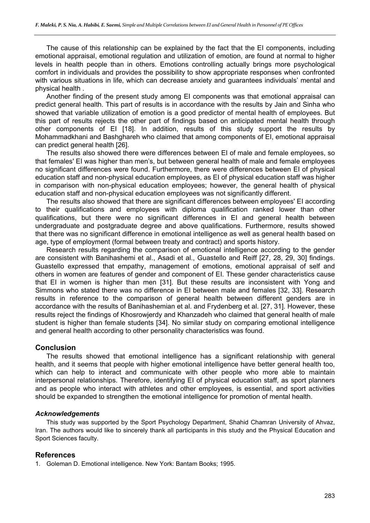The cause of this relationship can be explained by the fact that the EI components, including emotional appraisal, emotional regulation and utilization of emotion, are found at normal to higher levels in health people than in others. Emotions controlling actually brings more psychological comfort in individuals and provides the possibility to show appropriate responses when confronted with various situations in life, which can decrease anxiety and guarantees individuals' mental and physical health .

Another finding of the present study among EI components was that emotional appraisal can predict general health. This part of results is in accordance with the results by Jain and Sinha who showed that variable utilization of emotion is a good predictor of mental health of employees. But this part of results rejects the other part of findings based on anticipated mental health through other components of EI [18]. In addition, results of this study support the results by Mohammadkhani and Bashghareh who claimed that among components of EI, emotional appraisal can predict general health [26].

The results also showed there were differences between EI of male and female employees, so that females' EI was higher than men's, but between general health of male and female employees no significant differences were found. Furthermore, there were differences between EI of physical education staff and non-physical education employees, as EI of physical education staff was higher in comparison with non-physical education employees; however, the general health of physical education staff and non-physical education employees was not significantly different.

The results also showed that there are significant differences between employees' EI according to their qualifications and employees with diploma qualification ranked lower than other qualifications, but there were no significant differences in EI and general health between undergraduate and postgraduate degree and above qualifications. Furthermore, results showed that there was no significant difference in emotional intelligence as well as general health based on age, type of employment (formal between treaty and contract) and sports history.

Research results regarding the comparison of emotional intelligence according to the gender are consistent with Banihashemi et al., Asadi et al., Guastello and Reiff [27, 28, 29, 30] findings. Guastello expressed that empathy, management of emotions, emotional appraisal of self and others in women are features of gender and component of EI. These gender characteristics cause that EI in women is higher than men [31]. But these results are inconsistent with Yong and Simmons who stated there was no difference in EI between male and females [32, 33]. Research results in reference to the comparison of general health between different genders are in accordance with the results of Banihashemian et al. and Frydenberg et al. [27, 31]. However, these results reject the findings of Khosrowjerdy and Khanzadeh who claimed that general health of male student is higher than female students [34]. No similar study on comparing emotional intelligence and general health according to other personality characteristics was found.

# **Conclusion**

The results showed that emotional intelligence has a significant relationship with general health, and it seems that people with higher emotional intelligence have better general health too, which can help to interact and communicate with other people who more able to maintain interpersonal relationships. Therefore, identifying EI of physical education staff, as sport planners and as people who interact with athletes and other employees, is essential, and sport activities should be expanded to strengthen the emotional intelligence for promotion of mental health.

#### *Acknowledgements*

This study was supported by the Sport Psychology Department, Shahid Chamran University of Ahvaz, Iran. The authors would like to sincerely thank all participants in this study and the Physical Education and Sport Sciences faculty.

#### **References**

1. Goleman D. Emotional intelligence. New York: Bantam Books; 1995.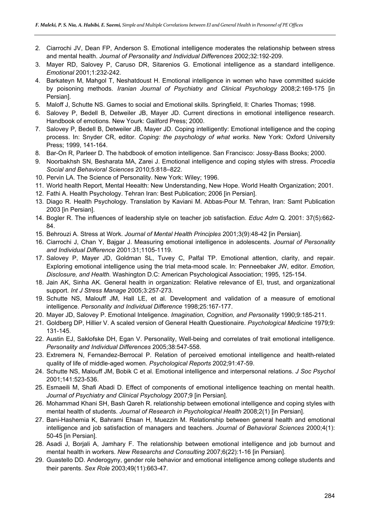- 2. Ciarrochi JV, Dean FP, Anderson S. Emotional intelligence moderates the relationship between stress and mental health. *Journal of Personality and Individual Differences* 2002;32:192-209.
- 3. Mayer RD, Salovey P, Caruso DR, Sitarenios G. Emotional intelligence as a standard intelligence. *Emotional* 2001;1:232-242.
- 4. Barkateyn M, Mahgol T, Neshatdoust H. Emotional intelligence in women who have committed suicide by poisoning methods. *Iranian Journal of Psychiatry and Clinical Psychology* 2008;2:169-175 [in Persian].
- 5. Maloff J, Schutte NS. Games to social and Emotional skills. Springfield, Il: Charles Thomas; 1998.
- 6. Salovey P, Bedell B, Detweiler JB, Mayer JD. Current directions in emotional intelligence research. Handbook of emotions. New Yourk: Gailford Press; 2000.
- 7. Salovey P, Bedell B, Detweiler JB, Mayer JD. Coping intelligently: Emotional intelligence and the coping process. In: Snyder CR, editor. *Coping: the psychology of what works*. New York: Oxford University Press; 1999, 141-164.
- 8. Bar-On R, Parleer D. The habdbook of emotion intelligence. San Francisco: Jossy-Bass Books; 2000.
- 9. Noorbakhsh SN, Besharata MA, Zarei J. Emotional intelligence and coping styles with stress. *Procedia Social and Behavioral Sciences* 2010;5:818–822.
- 10. Pervin LA. The Science of Personality. New York: Wiley; 1996.
- 11. World health Report, Mental Heealth: New Understanding, New Hope. World Health Organization; 2001.
- 12. Fathi A. Health Psychology. Tehran Iran: Best Publication; 2006 [in Persian].
- 13. Diago R. Health Psychology. Translation by Kaviani M. Abbas-Pour M. Tehran, Iran: Samt Publication 2003 [in Persian].
- 14. Bogler R. The influences of leadership style on teacher job satisfaction. *Educ Adm* Q. 2001: 37(5):662- 84.
- 15. Behrouzi A. Stress at Work. *Journal of Mental Health Principles* 2001;3(9):48-42 [in Persian].
- 16. Ciarrochi J, Chan Y, Bajgar J. Measuring emotional intelligence in adolescents. *Journal of Personality and Individual Difference* 2001:31;1105-1119.
- 17. Salovey P, Mayer JD, Goldman SL, Tuvey C, Palfal TP. Emotional attention, clarity, and repair. Exploring emotional intelligence using the trial meta-mood scale. In: Penneebaker JW, editor. *Emotion, Disclosure, and Health.* Washington D.C: American Psychological Association; 1995, 125-154.
- 18. Jain AK, Sinha AK. General health in organization: Relative relevance of EI, trust, and organizational support. *Int J Stress Manage* 2005;3:257-273.
- 19. Schutte NS, Malouff JM, Hall LE, et al. Development and validation of a measure of emotional intelligence. *Personality and Individual Difference* 1998;25:167-177.
- 20. Mayer JD, Salovey P. Emotional Inteligence. *Imagination, Cognition, and Personality* 1990;9:185-211.
- 21. Goldberg DP, Hillier V. A scaled version of General Health Questionaire. *Psychological Medicine* 1979;9: 131-145.
- 22. Austin EJ, Saklofske DH, Egan V. Personality, Well-being and correlates of trait emotional intelligence. *Personality and Individual Differences* 2005;38:547-558.
- 23. Extremera N, Fernandez-Berrocal P. Relation of perceived emotional intelligence and health-related quality of life of middle-aged women. *Psychological Reports* 2002;91:47-59.
- 24. Schutte NS, Malouff JM, Bobik C et al. Emotional intelligence and interpersonal relations. *J Soc Psychol* 2001;141:523-536.
- 25. Esmaeili M, Shafi Abadi D. Effect of components of emotional intelligence teaching on mental health. *Journal of Psychiatry and Clinical Psychology* 2007;9 [in Persian].
- 26. Mohammad Khani SH, Bash Qareh R. relationship between emotional intelligence and coping styles with mental health of students. *Journal of Research in Psychological Health* 2008;2(1) [in Persian].
- 27. Bani-Hashemia K, Bahrami Ehsan H, Muezzin M. Relationship between general health and emotional intelligence and job satisfaction of managers and teachers. *Journal of Behavioral Sciences* 2000;4(1): 50-45 [in Persian].
- 28. Asadi J, Borjali A, Jamhary F. The relationship between emotional intelligence and job burnout and mental health in workers. *New Researchs and Consulting* 2007;6(22):1-16 [in Persian].
- 29. Guastello DD. Anderogyny, gender role behavior and emotional intelligence among college students and their parents. *Sex Role* 2003;49(11):663-47.